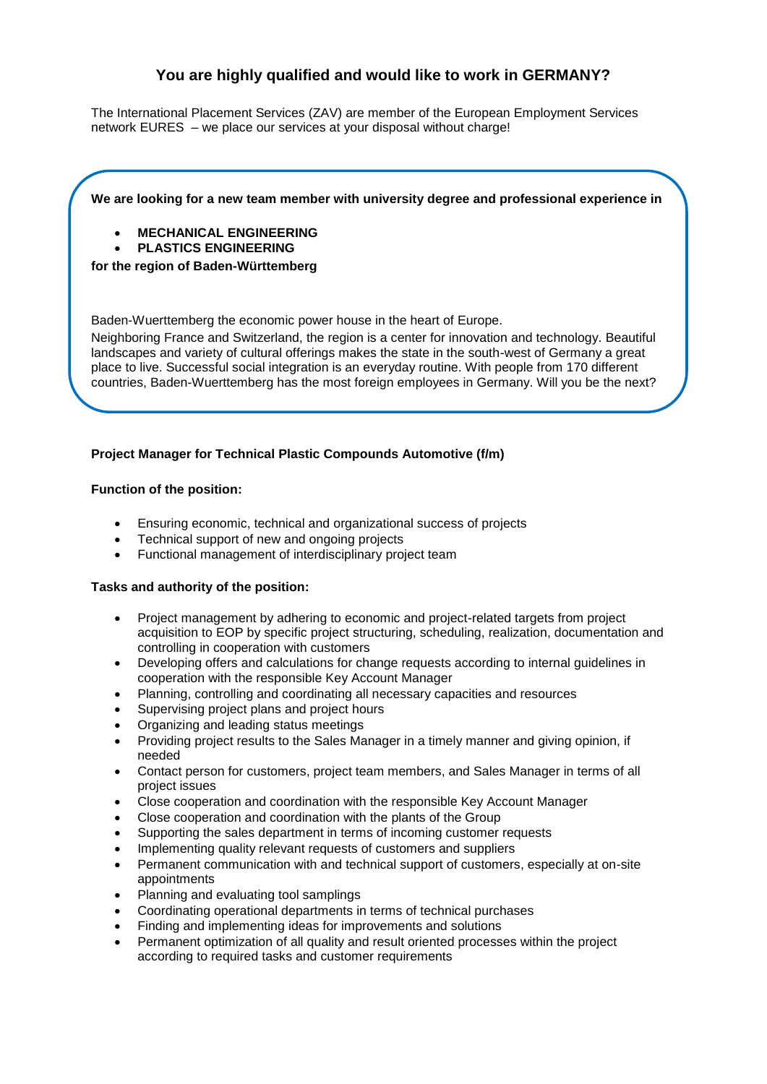# **You are highly qualified and would like to work in GERMANY?**

The International Placement Services (ZAV) are member of the European Employment Services network [EURES](http://ec.europa.eu/eures) – [we](http://dict.leo.org/ende/index_de.html#/search=We&searchLoc=0&resultOrder=basic&multiwordShowSingle=on) [place](http://dict.leo.org/ende/index_de.html#/search=place&searchLoc=0&resultOrder=basic&multiwordShowSingle=on) [our](http://dict.leo.org/ende/index_de.html#/search=our&searchLoc=0&resultOrder=basic&multiwordShowSingle=on) [services](http://dict.leo.org/ende/index_de.html#/search=services&searchLoc=0&resultOrder=basic&multiwordShowSingle=on) [at](http://dict.leo.org/ende/index_de.html#/search=at&searchLoc=0&resultOrder=basic&multiwordShowSingle=on) [your](http://dict.leo.org/ende/index_de.html#/search=your&searchLoc=0&resultOrder=basic&multiwordShowSingle=on) disposal without charge!

## **We are looking for a new team member with university degree and professional experience in**

## **MECHANICAL ENGINEERING**

**PLASTICS ENGINEERING**

## **for the region of Baden-Württemberg**

Baden-Wuerttemberg the economic power house in the heart of Europe.

Neighboring France and Switzerland, the region is a center for innovation and technology. Beautiful landscapes and variety of cultural offerings makes the state in the south-west of Germany a great place to live. Successful social integration is an everyday routine. With people from 170 different countries, Baden-Wuerttemberg has the most foreign employees in Germany. Will you be the next?

# **Project Manager for Technical Plastic Compounds Automotive (f/m)**

## **Function of the position:**

- Ensuring economic, technical and organizational success of projects
- Technical support of new and ongoing projects
- Functional management of interdisciplinary project team

#### **Tasks and authority of the position:**

- Project management by adhering to economic and project-related targets from project acquisition to EOP by specific project structuring, scheduling, realization, documentation and controlling in cooperation with customers
- Developing offers and calculations for change requests according to internal guidelines in cooperation with the responsible Key Account Manager
- Planning, controlling and coordinating all necessary capacities and resources
- Supervising project plans and project hours
- Organizing and leading status meetings
- Providing project results to the Sales Manager in a timely manner and giving opinion, if needed
- Contact person for customers, project team members, and Sales Manager in terms of all project issues
- Close cooperation and coordination with the responsible Key Account Manager
- Close cooperation and coordination with the plants of the Group
- Supporting the sales department in terms of incoming customer requests
- Implementing quality relevant requests of customers and suppliers
- Permanent communication with and technical support of customers, especially at on-site appointments
- Planning and evaluating tool samplings
- Coordinating operational departments in terms of technical purchases
- Finding and implementing ideas for improvements and solutions
- Permanent optimization of all quality and result oriented processes within the project according to required tasks and customer requirements